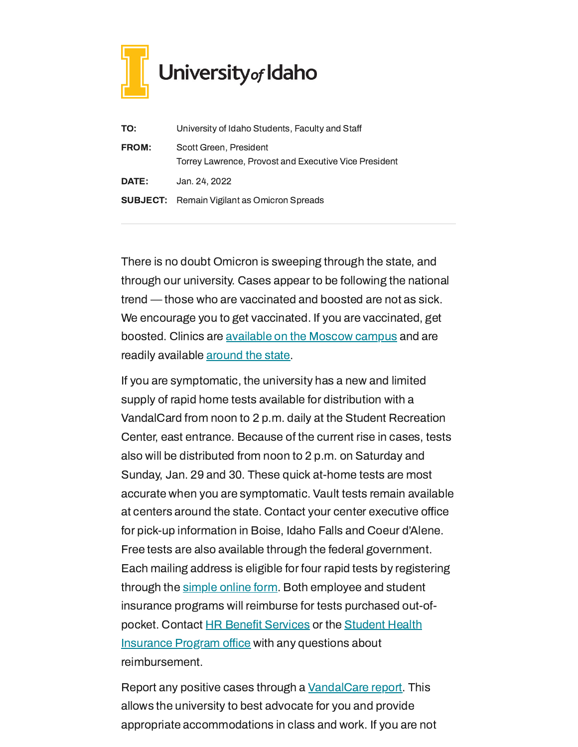

| TO:          | University of Idaho Students, Faculty and Staff                                 |
|--------------|---------------------------------------------------------------------------------|
| <b>FROM:</b> | Scott Green, President<br>Torrey Lawrence, Provost and Executive Vice President |
| <b>DATE:</b> | Jan. 24, 2022                                                                   |
|              | <b>SUBJECT:</b> Remain Vigilant as Omicron Spreads                              |

There is no doubt Omicron is sweeping through the state, and through our university. Cases appear to be following the national trend — those who are vaccinated and boosted are not as sick. We encourage you to get vaccinated. If you are vaccinated, get boosted. Clinics are [available](https://www.uidaho.edu/vandal-health-clinic/coronavirus/vaccine/pre-register) on the Moscow campus and are readily available [around](https://www.vaccines.gov/search/) the state.

If you are symptomatic, the university has a new and limited supply of rapid home tests available for distribution with a VandalCard from noon to 2 p.m. daily at the Student Recreation Center, east entrance. Because of the current rise in cases, tests also will be distributed from noon to 2 p.m. on Saturday and Sunday, Jan. 29 and 30. These quick at-home tests are most accurate when you are symptomatic. Vault tests remain available at centers around the state. Contact your center executive office for pick-up information in Boise, Idaho Falls and Coeur d'Alene. Free tests are also available through the federal government. Each mailing address is eligible for four rapid tests by registering through the [simple](https://www.covidtests.gov/) online form. Both employee and student insurance programs will reimburse for tests purchased out-ofpocket. Contact HR Benefit [Services](https://www.uidaho.edu/human-resources/benefits) or the Student Health [Insurance](https://www.uidaho.edu/current-students/student-health-services/ship) Program office with any questions about reimbursement.

Report any positive cases through a [VandalCare](https://www.uidaho.edu/student-affairs/dean-of-students/vandalcare) report. This allows the university to best advocate for you and provide appropriate accommodations in class and work. If you are not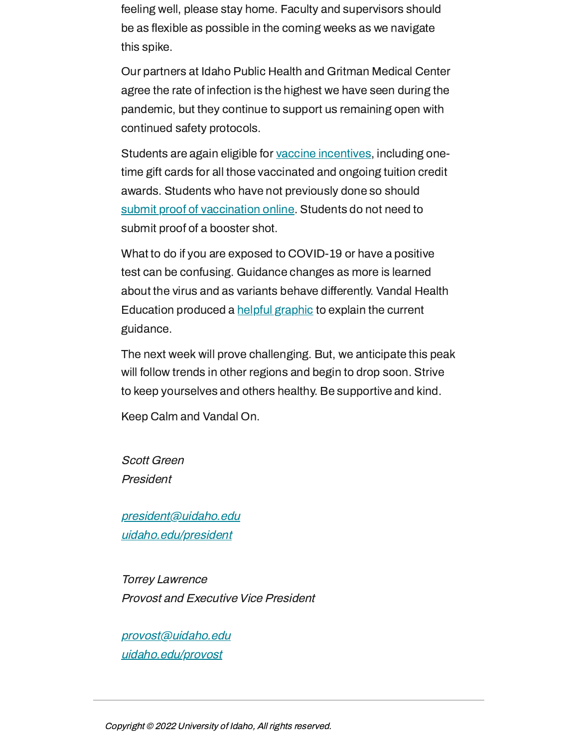feeling well, please stay home. Faculty and supervisors should be as flexible as possible in the coming weeks as we navigate this spike.

Our partners at Idaho Public Health and Gritman Medical Center agree the rate of infection is the highest we have seen during the pandemic, but they continue to support us remaining open with continued safety protocols.

Students are again eligible for vaccine [incentives,](https://www.uidaho.edu/-/media/UIdaho-Responsive/Files/health-clinic/covid-19/memos/memo-220121-eckles.pdf) including onetime gift cards for all those vaccinated and ongoing tuition credit awards. Students who have not previously done so should submit proof of [vaccination](https://uidaho.co1.qualtrics.com/jfe/form/SV_6gICn0bvv2PZPNA) online. Students do not need to submit proof of a booster shot.

What to do if you are exposed to COVID-19 or have a positive test can be confusing. Guidance changes as more is learned about the virus and as variants behave differently. Vandal Health Education produced a helpful [graphic](https://www.uidaho.edu/-/media/UIdaho-Responsive/Files/health-clinic/covid-19/toolkit/who-should-quarantine-guidance.pdf) to explain the current guidance.

The next week will prove challenging. But, we anticipate this peak will follow trends in other regions and begin to drop soon. Strive to keep yourselves and others healthy. Be supportive and kind.

Keep Calm and Vandal On.

Scott Green President

[president@uidaho.edu](mailto:president@uidaho.edu) [uidaho.edu/president](https://www.uidaho.edu/president)

Torrey Lawrence Provost and Executive Vice President

[provost@uidaho.edu](mailto:provost@uidaho.edu) [uidaho.edu/provost](http://www.uidaho.edu/provost)

Copyright © 2022 University of Idaho, All rights reserved.